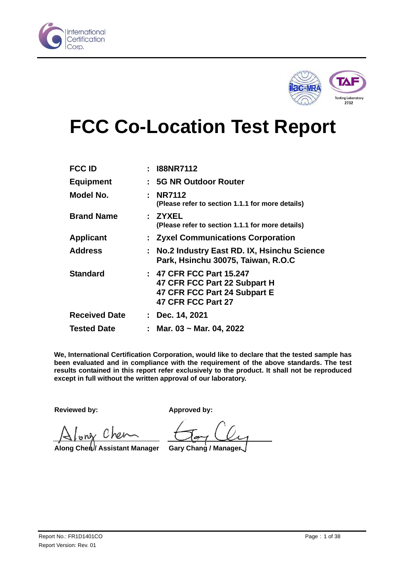



# **FCC Co-Location Test Report**

| <b>FCC ID</b>        | : I88NR7112                                                                                                    |
|----------------------|----------------------------------------------------------------------------------------------------------------|
| <b>Equipment</b>     | : 5G NR Outdoor Router                                                                                         |
| Model No.            | : NR7112<br>(Please refer to section 1.1.1 for more details)                                                   |
| <b>Brand Name</b>    | : ZYXEL<br>(Please refer to section 1.1.1 for more details)                                                    |
| <b>Applicant</b>     | : Zyxel Communications Corporation                                                                             |
| <b>Address</b>       | : No.2 Industry East RD. IX, Hsinchu Science<br>Park, Hsinchu 30075, Taiwan, R.O.C                             |
| <b>Standard</b>      | : 47 CFR FCC Part 15.247<br>47 CFR FCC Part 22 Subpart H<br>47 CFR FCC Part 24 Subpart E<br>47 CFR FCC Part 27 |
| <b>Received Date</b> | $:$ Dec. 14, 2021                                                                                              |
| <b>Tested Date</b>   | Mar. 03 ~ Mar. 04, 2022                                                                                        |

<span id="page-0-0"></span>**We, International Certification Corporation, would like to declare that the tested sample has been evaluated and in compliance with the requirement of the above standards. The test results contained in this report refer exclusively to the product. It shall not be reproduced except in full without the written approval of our laboratory.** 

**Reviewed by: Approved by:**

only Chen

**Along Chen / Assistant Manager Gary Chang / Manager**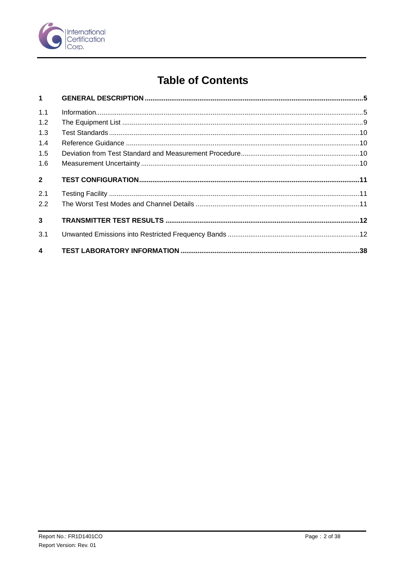

# **Table of Contents**

| $1 \quad$        |  |
|------------------|--|
| 1.1              |  |
| 1.2              |  |
| 1.3              |  |
| 1.4              |  |
| 1.5              |  |
| 1.6              |  |
| 2 <sup>7</sup>   |  |
| 2.1              |  |
| 2.2              |  |
| $\overline{3}$   |  |
| 3.1              |  |
| $\blacktriangle$ |  |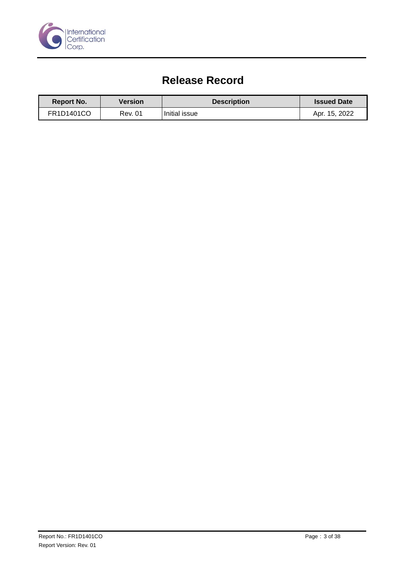

# **Release Record**

<span id="page-2-0"></span>

| <b>Report No.</b> | Version | <b>Description</b> | <b>Issued Date</b> |
|-------------------|---------|--------------------|--------------------|
| FR1D1401CO        | Rev. 01 | Initial issue      | Apr. 15, 2022      |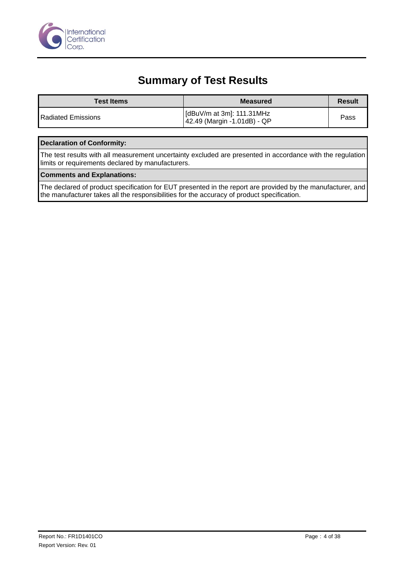

# **Summary of Test Results**

| <b>Test Items</b>  | <b>Measured</b>                                          | <b>Result</b> |
|--------------------|----------------------------------------------------------|---------------|
| Radiated Emissions | [dBuV/m at 3m]: 111.31MHz<br>42.49 (Margin -1.01dB) - QP | Pass          |

#### **Declaration of Conformity:**

The test results with all measurement uncertainty excluded are presented in accordance with the regulation limits or requirements declared by manufacturers.

#### **Comments and Explanations:**

The declared of product specification for EUT presented in the report are provided by the manufacturer, and the manufacturer takes all the responsibilities for the accuracy of product specification.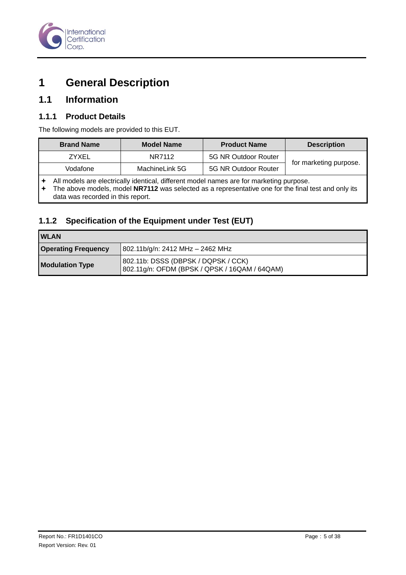

# <span id="page-4-0"></span>**1 General Description**

#### <span id="page-4-1"></span>**1.1 Information**

#### **1.1.1 Product Details**

The following models are provided to this EUT.

| <b>Brand Name</b> | <b>Model Name</b> | <b>Product Name</b>  | <b>Description</b>     |
|-------------------|-------------------|----------------------|------------------------|
| ZYXEL             | NR7112            | 5G NR Outdoor Router |                        |
| Vodafone          | MachineLink 5G    | 5G NR Outdoor Router | for marketing purpose. |
|                   |                   |                      |                        |

All models are electrically identical, different model names are for marketing purpose.<br>
The above models, model **NR7112** was selected as a representative one for the final

 The above models, model **NR7112** was selected as a representative one for the final test and only its data was recorded in this report.

#### **1.1.2 Specification of the Equipment under Test (EUT)**

| <b>IWLAN</b>               |                                                                                      |
|----------------------------|--------------------------------------------------------------------------------------|
| <b>Operating Frequency</b> | 802.11b/g/n: 2412 MHz - 2462 MHz                                                     |
| <b>Modulation Type</b>     | 802.11b: DSSS (DBPSK / DQPSK / CCK)<br>802.11g/n: OFDM (BPSK / QPSK / 16QAM / 64QAM) |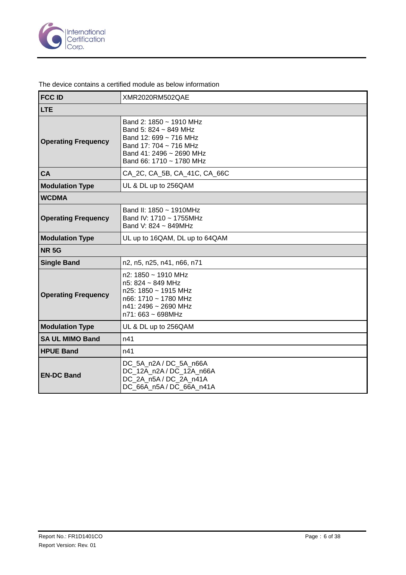

The device contains a certified module as below information

| <b>FCC ID</b>              | XMR2020RM502QAE                                                                                                                                              |
|----------------------------|--------------------------------------------------------------------------------------------------------------------------------------------------------------|
| <b>LTE</b>                 |                                                                                                                                                              |
| <b>Operating Frequency</b> | Band 2: 1850 ~ 1910 MHz<br>Band 5: 824 ~ 849 MHz<br>Band 12: 699 ~ 716 MHz<br>Band 17: 704 ~ 716 MHz<br>Band 41: 2496 ~ 2690 MHz<br>Band 66: 1710 ~ 1780 MHz |
| <b>CA</b>                  | CA 2C, CA 5B, CA 41C, CA 66C                                                                                                                                 |
| <b>Modulation Type</b>     | UL & DL up to 256QAM                                                                                                                                         |
| <b>WCDMA</b>               |                                                                                                                                                              |
| <b>Operating Frequency</b> | Band II: $1850 \sim 1910$ MHz<br>Band IV: 1710 ~ 1755MHz<br>Band V: 824 ~ 849MHz                                                                             |
| <b>Modulation Type</b>     | UL up to 16QAM, DL up to 64QAM                                                                                                                               |
| <b>NR 5G</b>               |                                                                                                                                                              |
| <b>Single Band</b>         | n2, n5, n25, n41, n66, n71                                                                                                                                   |
| <b>Operating Frequency</b> | $n2: 1850 \sim 1910$ MHz<br>n5: 824 ~ 849 MHz<br>$n25: 1850 \sim 1915$ MHz<br>n66: 1710 ~ 1780 MHz<br>n41: 2496 ~ 2690 MHz<br>n71: 663 ~ 698MHz              |
| <b>Modulation Type</b>     | UL & DL up to 256QAM                                                                                                                                         |
| <b>SA UL MIMO Band</b>     | n41                                                                                                                                                          |
| <b>HPUE Band</b>           | n41                                                                                                                                                          |
| <b>EN-DC Band</b>          | DC 5A n2A/DC 5A n66A<br>DC_12A_n2A / DC_12A_n66A<br>DC 2A n5A/DC 2A n41A<br>DC_66A_n5A / DC_66A_n41A                                                         |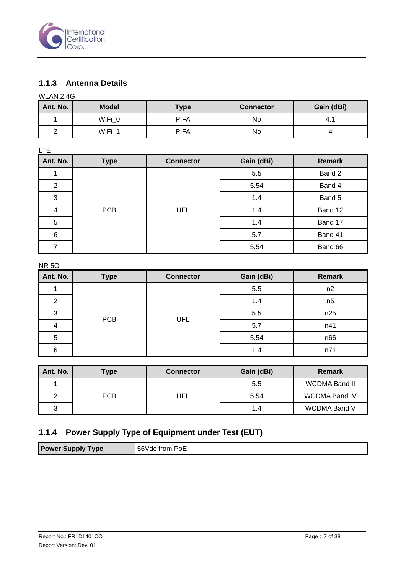

#### **1.1.3 Antenna Details**

WLAN 2.4G

| Ant. No. | <b>Model</b> | <b>Type</b> | <b>Connector</b> | Gain (dBi) |
|----------|--------------|-------------|------------------|------------|
|          | WiFi 0       | <b>PIFA</b> | No               | 4.1        |
|          | WiFi         | <b>PIFA</b> | No               |            |

| <b>LTE</b>     |             |                  |            |               |
|----------------|-------------|------------------|------------|---------------|
| Ant. No.       | <b>Type</b> | <b>Connector</b> | Gain (dBi) | <b>Remark</b> |
|                |             |                  | 5.5        | Band 2        |
| $\overline{2}$ |             |                  | 5.54       | Band 4        |
| 3              |             |                  | 1.4        | Band 5        |
| 4              | <b>PCB</b>  | <b>UFL</b>       | 1.4        | Band 12       |
| 5              |             |                  | 1.4        | Band 17       |
| 6              |             |                  | 5.7        | Band 41       |
| 7              |             |                  | 5.54       | Band 66       |

NR 5G

| Ant. No. | <b>Type</b> | <b>Connector</b> | Gain (dBi) | <b>Remark</b>  |
|----------|-------------|------------------|------------|----------------|
|          |             |                  | 5.5        | n2             |
| 2        |             |                  | 1.4        | n <sub>5</sub> |
| 3        |             |                  | 5.5        | n25            |
|          | <b>PCB</b>  | UFL              | 5.7        | n41            |
| 5        |             |                  | 5.54       | n66            |
| 6        |             |                  | 1.4        | n71            |

| Ant. No. | Type       | <b>Connector</b> | Gain (dBi) | <b>Remark</b>        |
|----------|------------|------------------|------------|----------------------|
|          |            |                  | 5.5        | WCDMA Band II        |
|          | <b>PCB</b> | UFL              | 5.54       | <b>WCDMA Band IV</b> |
|          |            |                  | 1.4        | <b>WCDMA Band V</b>  |

#### **1.1.4 Power Supply Type of Equipment under Test (EUT)**

|--|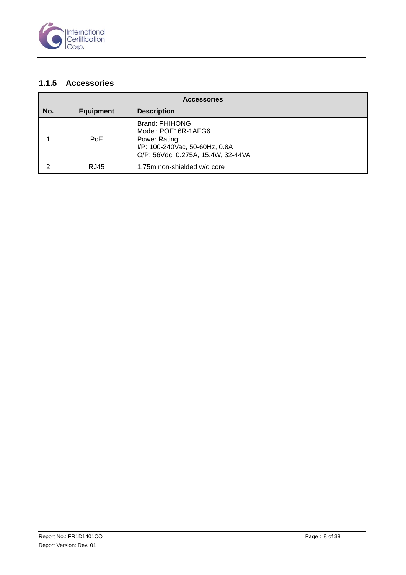

#### **1.1.5 Accessories**

| <b>Accessories</b> |                  |                                                                                                                                |  |  |  |
|--------------------|------------------|--------------------------------------------------------------------------------------------------------------------------------|--|--|--|
| No.                | <b>Equipment</b> | <b>Description</b>                                                                                                             |  |  |  |
|                    | <b>PoE</b>       | Brand: PHIHONG<br>Model: POE16R-1AFG6<br>Power Rating:<br>I/P: 100-240Vac, 50-60Hz, 0.8A<br>O/P: 56Vdc, 0.275A, 15.4W, 32-44VA |  |  |  |
| ົ                  | RJ45             | 1.75m non-shielded w/o core                                                                                                    |  |  |  |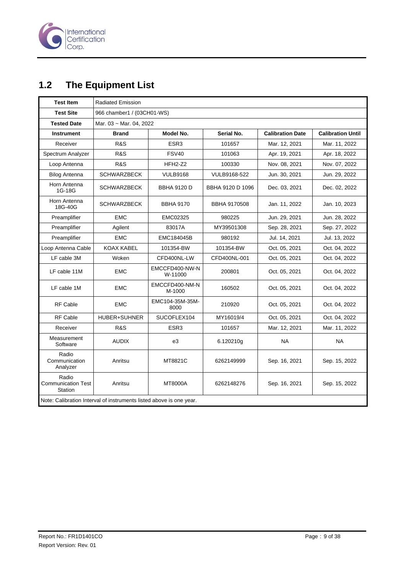

# <span id="page-8-0"></span>**1.2 The Equipment List**

| <b>Test Item</b>                                                    | <b>Radiated Emission</b>   |                           |                     |                         |                          |  |
|---------------------------------------------------------------------|----------------------------|---------------------------|---------------------|-------------------------|--------------------------|--|
| <b>Test Site</b>                                                    | 966 chamber1 / (03CH01-WS) |                           |                     |                         |                          |  |
| <b>Tested Date</b>                                                  | Mar. 03 ~ Mar. 04, 2022    |                           |                     |                         |                          |  |
| <b>Instrument</b>                                                   | Brand                      | Model No.                 | Serial No.          | <b>Calibration Date</b> | <b>Calibration Until</b> |  |
| Receiver                                                            | R&S                        | ESR <sub>3</sub>          | 101657              | Mar. 12, 2021           | Mar. 11, 2022            |  |
| Spectrum Analyzer                                                   | R&S                        | <b>FSV40</b>              | 101063              | Apr. 19, 2021           | Apr. 18, 2022            |  |
| Loop Antenna                                                        | R&S                        | $HFH2-Z2$                 | 100330              | Nov. 08, 2021           | Nov. 07, 2022            |  |
| <b>Bilog Antenna</b>                                                | <b>SCHWARZBECK</b>         | <b>VULB9168</b>           | VULB9168-522        | Jun. 30, 2021           | Jun. 29, 2022            |  |
| Horn Antenna<br>1G-18G                                              | <b>SCHWARZBECK</b>         | <b>BBHA 9120 D</b>        | BBHA 9120 D 1096    | Dec. 03, 2021           | Dec. 02, 2022            |  |
| Horn Antenna<br>18G-40G                                             | <b>SCHWARZBECK</b>         | <b>BBHA 9170</b>          | <b>BBHA 9170508</b> | Jan. 11, 2022           | Jan. 10, 2023            |  |
| Preamplifier                                                        | <b>EMC</b>                 | EMC02325                  | 980225              | Jun. 29, 2021           | Jun. 28, 2022            |  |
| Preamplifier                                                        | Agilent                    | 83017A                    | MY39501308          | Sep. 28, 2021           | Sep. 27, 2022            |  |
| Preamplifier                                                        | <b>EMC</b>                 | EMC184045B                | 980192              | Jul. 14, 2021           | Jul. 13, 2022            |  |
| Loop Antenna Cable                                                  | <b>KOAX KABEL</b>          | 101354-BW                 | 101354-BW           | Oct. 05, 2021           | Oct. 04, 2022            |  |
| LF cable 3M                                                         | Woken                      | CFD400NL-LW               | CFD400NL-001        | Oct. 05, 2021           | Oct. 04, 2022            |  |
| LF cable 11M                                                        | <b>EMC</b>                 | EMCCFD400-NW-N<br>W-11000 | 200801              | Oct. 05, 2021           | Oct. 04, 2022            |  |
| LF cable 1M                                                         | <b>EMC</b>                 | EMCCFD400-NM-N<br>M-1000  | 160502              | Oct. 05, 2021           | Oct. 04, 2022            |  |
| <b>RF Cable</b>                                                     | <b>EMC</b>                 | EMC104-35M-35M-<br>8000   | 210920              | Oct. 05, 2021           | Oct. 04, 2022            |  |
| <b>RF Cable</b>                                                     | <b>HUBER+SUHNER</b>        | SUCOFLEX104               | MY16019/4           | Oct. 05, 2021           | Oct. 04, 2022            |  |
| Receiver                                                            | R&S                        | ESR3                      | 101657              | Mar. 12, 2021           | Mar. 11, 2022            |  |
| Measurement<br>Software                                             | <b>AUDIX</b>               | e3                        | 6.120210g           | NA                      | NA                       |  |
| Radio<br>Communication<br>Analyzer                                  | Anritsu                    | MT8821C                   | 6262149999          | Sep. 16, 2021           | Sep. 15, 2022            |  |
| Radio<br><b>Communication Test</b><br>Station                       | Anritsu                    | MT8000A                   | 6262148276          | Sep. 16, 2021           | Sep. 15, 2022            |  |
| Note: Calibration Interval of instruments listed above is one year. |                            |                           |                     |                         |                          |  |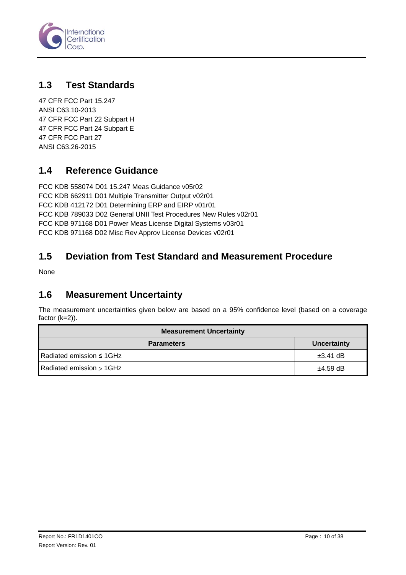

### <span id="page-9-0"></span>**1.3 Test Standards**

[47 CFR FCC](#page-0-0) Part 15.247 ANSI C63.10-2013 47 CFR FCC Part 22 Subpart H 47 CFR FCC Part 24 Subpart E 47 CFR FCC Part 27 ANSI C63.26-2015

### <span id="page-9-1"></span>**1.4 Reference Guidance**

FCC KDB 558074 D01 15.247 Meas Guidance v05r02 FCC KDB 662911 D01 Multiple Transmitter Output v02r01 FCC KDB 412172 D01 Determining ERP and EIRP v01r01 FCC KDB 789033 D02 General UNII Test Procedures New Rules v02r01 FCC KDB 971168 D01 Power Meas License Digital Systems v03r01 FCC KDB 971168 D02 Misc Rev Approv License Devices v02r01

### <span id="page-9-2"></span>**1.5 Deviation from Test Standard and Measurement Procedure**

None

#### <span id="page-9-3"></span>**1.6 Measurement Uncertainty**

The measurement uncertainties given below are based on a 95% confidence level (based on a coverage factor (k=2)).

| <b>Measurement Uncertainty</b> |               |  |  |  |
|--------------------------------|---------------|--|--|--|
| <b>Parameters</b>              | Uncertainty   |  |  |  |
| Radiated emission $\leq$ 1GHz  | $\pm 3.41$ dB |  |  |  |
| Radiated emission > 1GHz       | $±4.59$ dB    |  |  |  |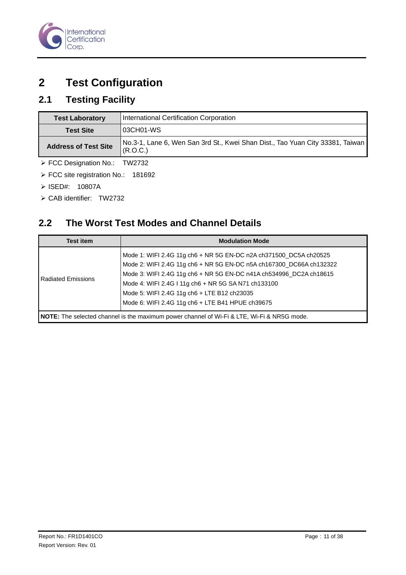

# <span id="page-10-0"></span>**2 Test Configuration**

# <span id="page-10-1"></span>**2.1 Testing Facility**

| <b>Test Laboratory</b>        | International Certification Corporation                                                    |
|-------------------------------|--------------------------------------------------------------------------------------------|
| <b>Test Site</b>              | 103CH01-WS                                                                                 |
| <b>Address of Test Site</b>   | No.3-1, Lane 6, Wen San 3rd St., Kwei Shan Dist., Tao Yuan City 33381, Taiwan<br> (R.O.C.) |
| ▶ FCC Designation No.: TW2732 |                                                                                            |

FCC site registration No.: 181692

- ISED#: 10807A
- CAB identifier: TW2732

## <span id="page-10-2"></span>**2.2 The Worst Test Modes and Channel Details**

| <b>Test item</b>                                                                           | <b>Modulation Mode</b>                                                                                                                                                                                                                                                                                                                                                   |  |  |
|--------------------------------------------------------------------------------------------|--------------------------------------------------------------------------------------------------------------------------------------------------------------------------------------------------------------------------------------------------------------------------------------------------------------------------------------------------------------------------|--|--|
| <b>Radiated Emissions</b>                                                                  | Mode 1: WIFI 2.4G 11g ch6 + NR 5G EN-DC n2A ch371500_DC5A ch20525<br>Mode 2: WIFI 2.4G 11g ch6 + NR 5G EN-DC n5A ch167300_DC66A ch132322<br>Mode 3: WIFI 2.4G 11g ch6 + NR 5G EN-DC n41A ch534996_DC2A ch18615<br>Mode 4: WIFI 2.4G I 11g ch6 + NR 5G SA N71 ch133100<br>Mode 5: WIFI 2.4G 11g ch6 + LTE B12 ch23035<br>Mode 6: WIFI 2.4G 11g ch6 + LTE B41 HPUE ch39675 |  |  |
| NOTE: The selected channel is the maximum power channel of Wi-Fi & LTE, Wi-Fi & NR5G mode. |                                                                                                                                                                                                                                                                                                                                                                          |  |  |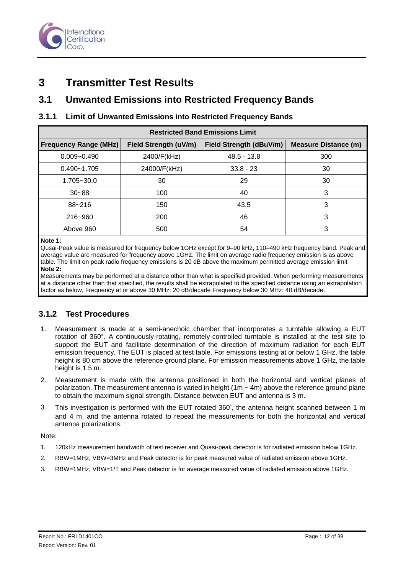

# <span id="page-11-0"></span>**3 Transmitter Test Results**

#### <span id="page-11-1"></span>**3.1 Unwanted Emissions into Restricted Frequency Bands**

#### **3.1.1 Limit of Unwanted Emissions into Restricted Frequency Bands**

| <b>Restricted Band Emissions Limit</b> |                       |                         |                             |  |  |  |
|----------------------------------------|-----------------------|-------------------------|-----------------------------|--|--|--|
| <b>Frequency Range (MHz)</b>           | Field Strength (uV/m) | Field Strength (dBuV/m) | <b>Measure Distance (m)</b> |  |  |  |
| $0.009 - 0.490$                        | 2400/F(kHz)           | $48.5 - 13.8$           | 300                         |  |  |  |
| $0.490 - 1.705$                        | 24000/F(kHz)          | $33.8 - 23$             | 30                          |  |  |  |
| 1.705~30.0                             | 30                    | 29                      | 30                          |  |  |  |
| $30 - 88$                              | 100                   | 40                      | 3                           |  |  |  |
| $88 - 216$                             | 150                   | 43.5                    | 3                           |  |  |  |
| 216~960                                | 200                   | 46                      | 3                           |  |  |  |
| Above 960                              | 500                   | 54                      | 3                           |  |  |  |

**Note 1:** 

Qusai-Peak value is measured for frequency below 1GHz except for 9–90 kHz, 110–490 kHz frequency band. Peak and average value are measured for frequency above 1GHz. The limit on average radio frequency emission is as above table. The limit on peak radio frequency emissions is 20 dB above the maximum permitted average emission limit **Note 2:** 

Measurements may be performed at a distance other than what is specified provided. When performing measurements at a distance other than that specified, the results shall be extrapolated to the specified distance using an extrapolation factor as below, Frequency at or above 30 MHz: 20 dB/decade Frequency below 30 MHz: 40 dB/decade.

#### **3.1.2 Test Procedures**

- 1. Measurement is made at a semi-anechoic chamber that incorporates a turntable allowing a EUT rotation of 360°. A continuously-rotating, remotely-controlled turntable is installed at the test site to support the EUT and facilitate determination of the direction of maximum radiation for each EUT emission frequency. The EUT is placed at test table. For emissions testing at or below 1 GHz, the table height is 80 cm above the reference ground plane. For emission measurements above 1 GHz, the table height is 1.5 m.
- 2. Measurement is made with the antenna positioned in both the horizontal and vertical planes of polarization. The measurement antenna is varied in height  $(1m \sim 4m)$  above the reference ground plane to obtain the maximum signal strength. Distance between EUT and antenna is 3 m.
- 3. This investigation is performed with the EUT rotated 360°, the antenna height scanned between 1 m and 4 m, and the antenna rotated to repeat the measurements for both the horizontal and vertical antenna polarizations.

Note:

- 1. 120kHz measurement bandwidth of test receiver and Quasi-peak detector is for radiated emission below 1GHz.
- 2. RBW=1MHz, VBW=3MHz and Peak detector is for peak measured value of radiated emission above 1GHz.
- 3. RBW=1MHz, VBW=1/T and Peak detector is for average measured value of radiated emission above 1GHz.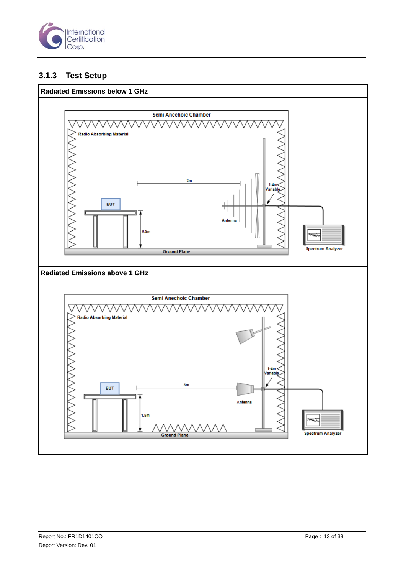

#### **3.1.3 Test Setup**

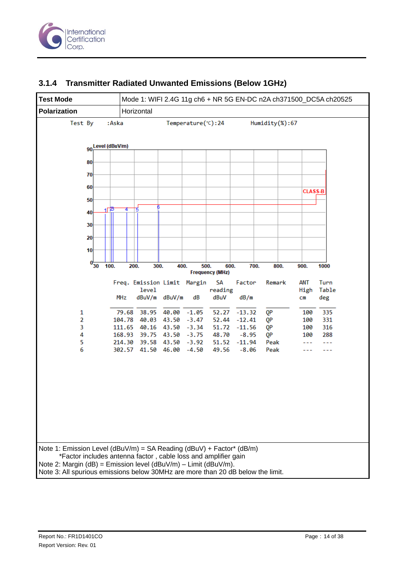



#### **3.1.4 Transmitter Radiated Unwanted Emissions (Below 1GHz)**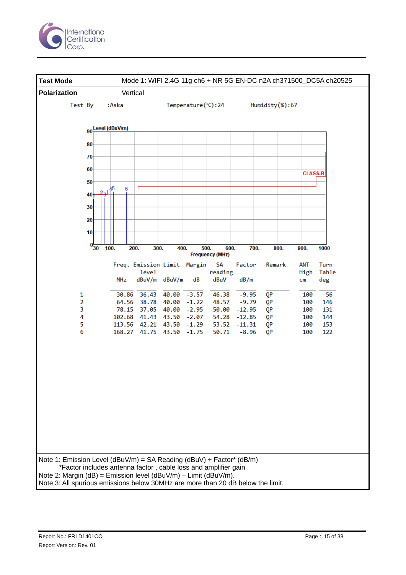

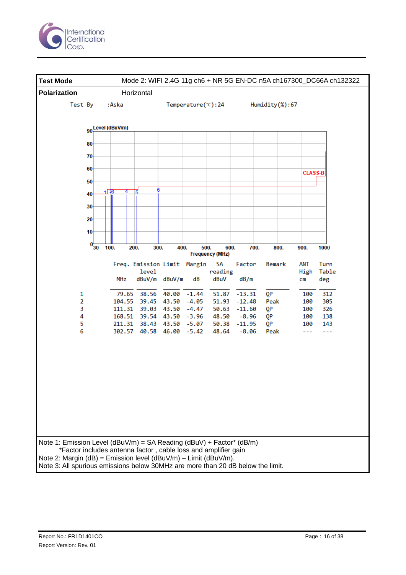

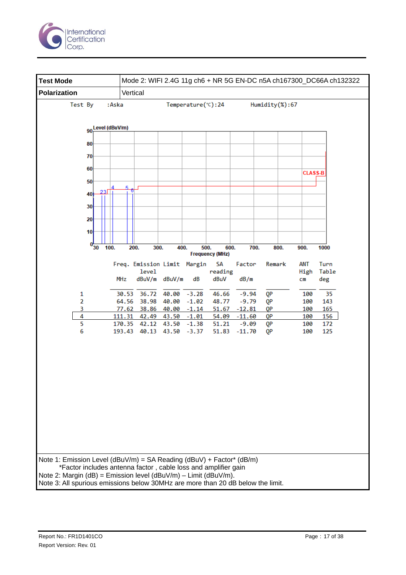

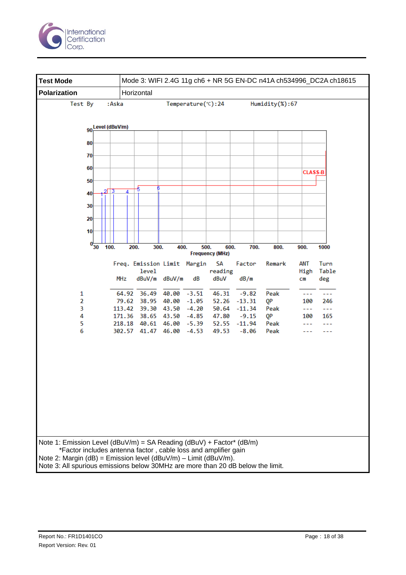

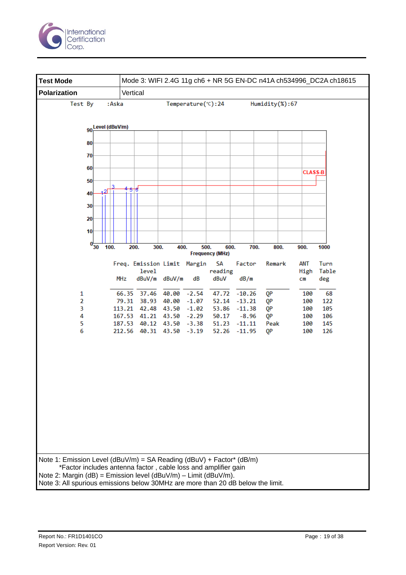

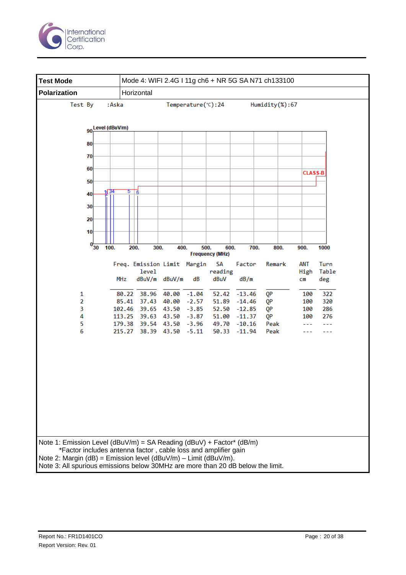

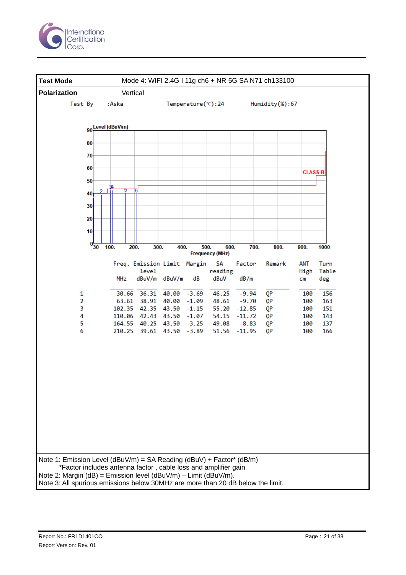

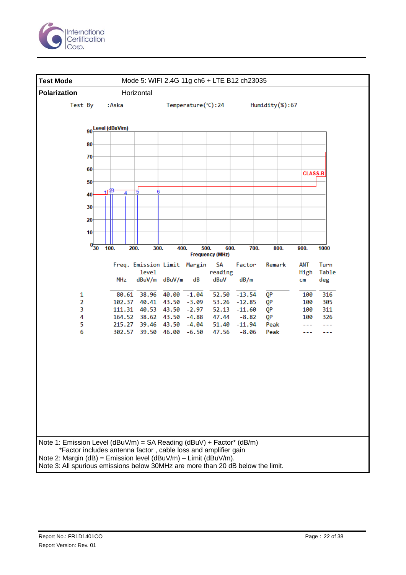

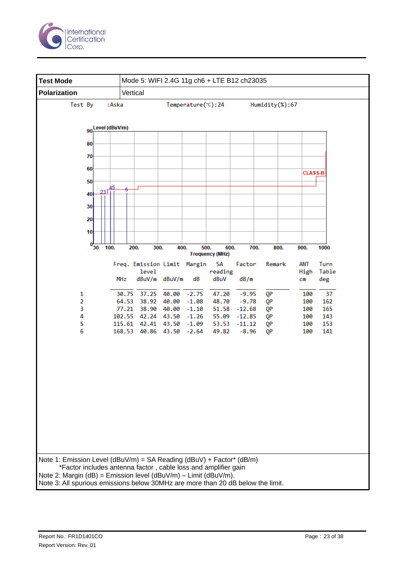

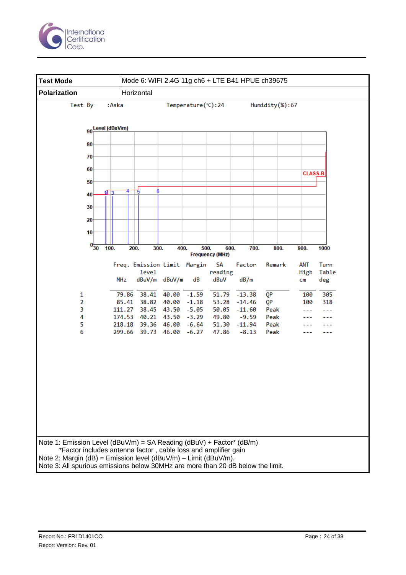

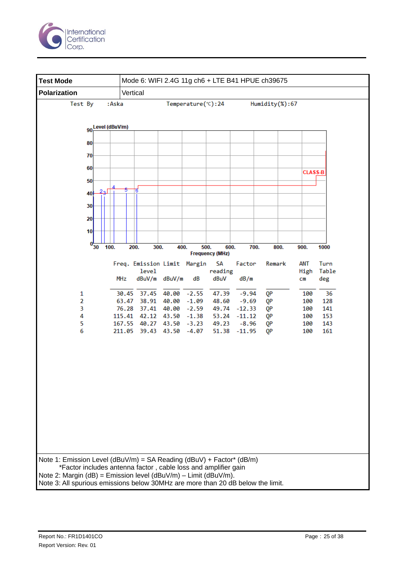

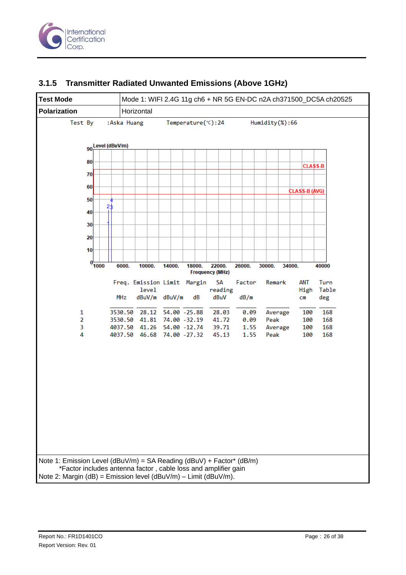



#### **3.1.5 Transmitter Radiated Unwanted Emissions (Above 1GHz)**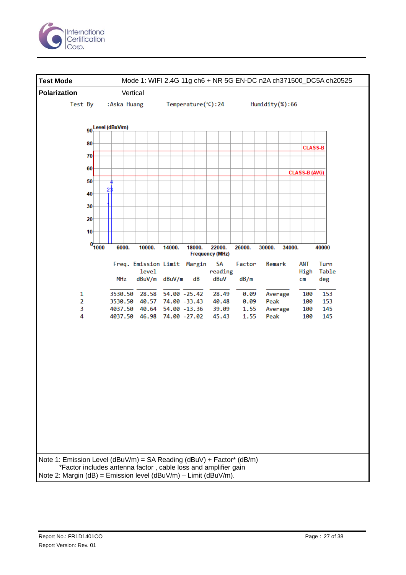

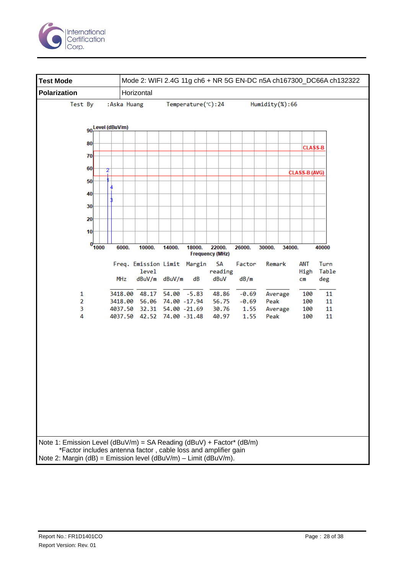

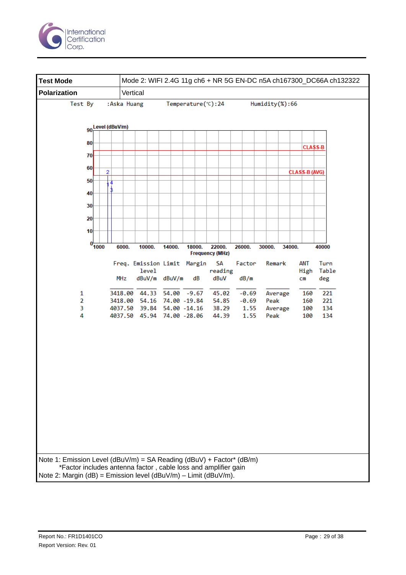

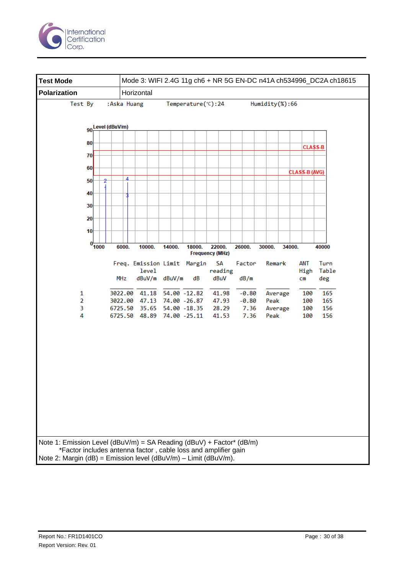

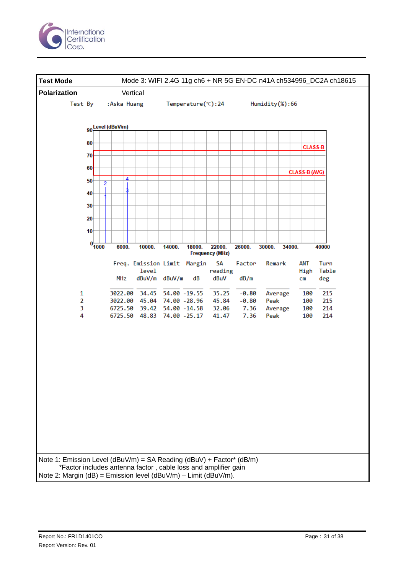

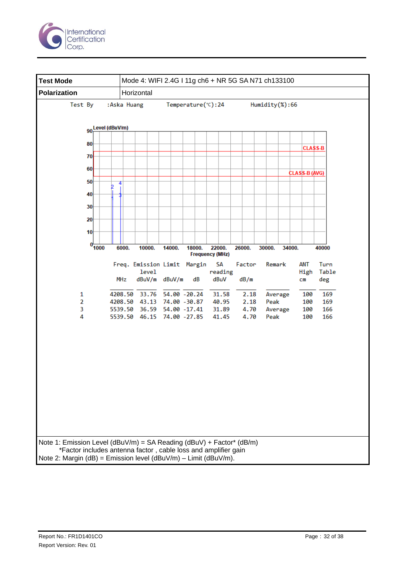

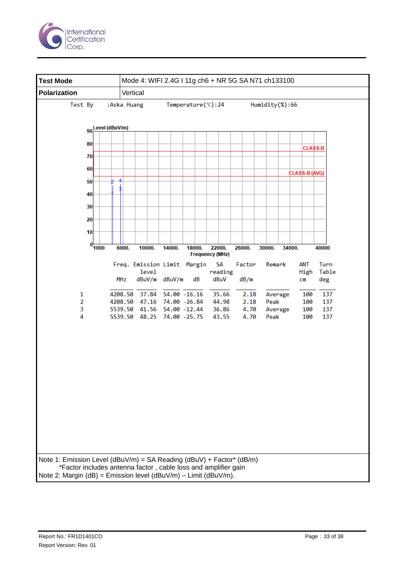

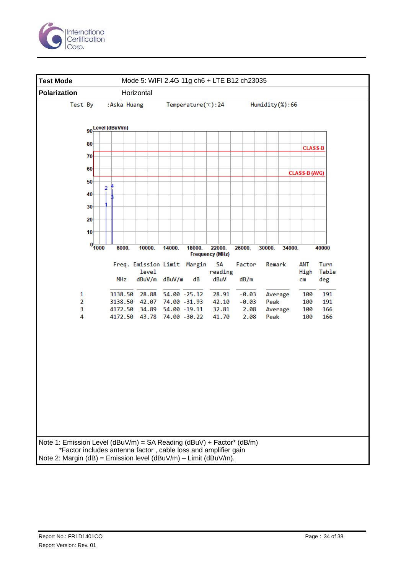

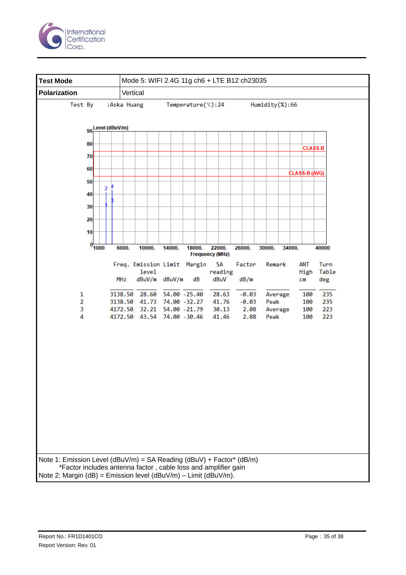

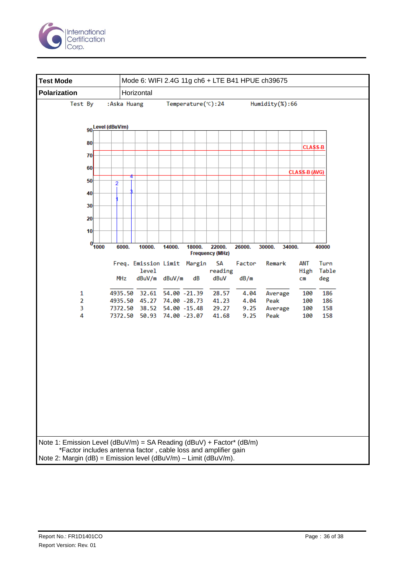

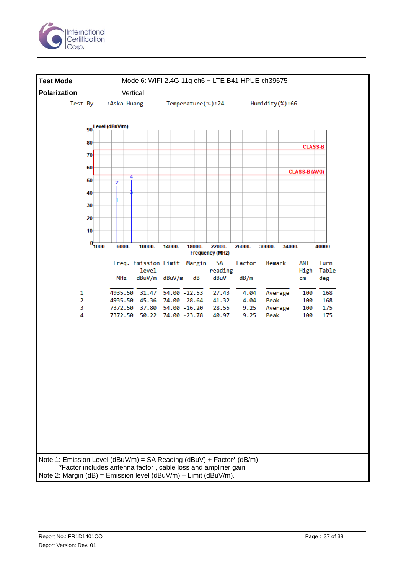